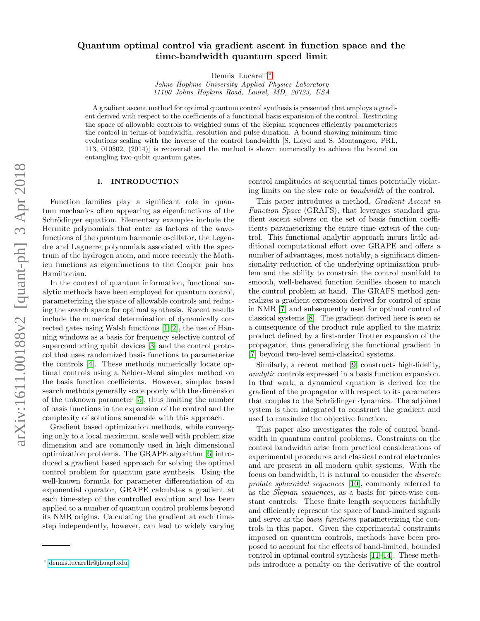# Quantum optimal control via gradient ascent in function space and the time-bandwidth quantum speed limit

Dennis Lucarelli[∗](#page-0-0)

Johns Hopkins University Applied Physics Laboratory 11100 Johns Hopkins Road, Laurel, MD, 20723, USA

A gradient ascent method for optimal quantum control synthesis is presented that employs a gradient derived with respect to the coefficients of a functional basis expansion of the control. Restricting the space of allowable controls to weighted sums of the Slepian sequences efficiently parameterizes the control in terms of bandwidth, resolution and pulse duration. A bound showing minimum time evolutions scaling with the inverse of the control bandwidth [S. Lloyd and S. Montangero, PRL, 113, 010502, (2014)] is recovered and the method is shown numerically to achieve the bound on entangling two-qubit quantum gates.

## I. INTRODUCTION

Function families play a significant role in quantum mechanics often appearing as eigenfunctions of the Schrödinger equation. Elementary examples include the Hermite polynomials that enter as factors of the wavefunctions of the quantum harmonic oscillator, the Legendre and Laguerre polynomials associated with the spectrum of the hydrogen atom, and more recently the Mathieu functions as eigenfunctions to the Cooper pair box Hamiltonian.

In the context of quantum information, functional analytic methods have been employed for quantum control, parameterizing the space of allowable controls and reducing the search space for optimal synthesis. Recent results include the numerical determination of dynamically corrected gates using Walsh functions [\[1,](#page-6-0) [2\]](#page-6-1), the use of Hanning windows as a basis for frequency selective control of superconducting qubit devices [\[3\]](#page-6-2) and the control protocol that uses randomized basis functions to parameterize the controls [\[4\]](#page-6-3). These methods numerically locate optimal controls using a Nelder-Mead simplex method on the basis function coefficients. However, simplex based search methods generally scale poorly with the dimension of the unknown parameter [\[5\]](#page-6-4), thus limiting the number of basis functions in the expansion of the control and the complexity of solutions amenable with this approach.

Gradient based optimization methods, while converging only to a local maximum, scale well with problem size dimension and are commonly used in high dimensional optimization problems. The GRAPE algorithm [\[6\]](#page-6-5) introduced a gradient based approach for solving the optimal control problem for quantum gate synthesis. Using the well-known formula for parameter differentiation of an exponential operator, GRAPE calculates a gradient at each time-step of the controlled evolution and has been applied to a number of quantum control problems beyond its NMR origins. Calculating the gradient at each timestep independently, however, can lead to widely varying control amplitudes at sequential times potentially violating limits on the slew rate or bandwidth of the control.

This paper introduces a method, Gradient Ascent in Function Space (GRAFS), that leverages standard gradient ascent solvers on the set of basis function coefficients parameterizing the entire time extent of the control. This functional analytic approach incurs little additional computational effort over GRAPE and offers a number of advantages, most notably, a significant dimensionality reduction of the underlying optimization problem and the ability to constrain the control manifold to smooth, well-behaved function families chosen to match the control problem at hand. The GRAFS method generalizes a gradient expression derived for control of spins in NMR [\[7\]](#page-6-6) and subsequently used for optimal control of classical systems [\[8\]](#page-6-7). The gradient derived here is seen as a consequence of the product rule applied to the matrix product defined by a first-order Trotter expansion of the propagator, thus generalizing the functional gradient in [\[7\]](#page-6-6) beyond two-level semi-classical systems.

Similarly, a recent method [\[9\]](#page-6-8) constructs high-fidelity, analytic controls expressed in a basis function expansion. In that work, a dynamical equation is derived for the gradient of the propagator with respect to its parameters that couples to the Schrödinger dynamics. The adjoined system is then integrated to construct the gradient and used to maximize the objective function.

This paper also investigates the role of control bandwidth in quantum control problems. Constraints on the control bandwidth arise from practical considerations of experimental procedures and classical control electronics and are present in all modern qubit systems. With the focus on bandwidth, it is natural to consider the discrete prolate spheroidal sequences [\[10\]](#page-6-9), commonly referred to as the Slepian sequences, as a basis for piece-wise constant controls. These finite length sequences faithfully and efficiently represent the space of band-limited signals and serve as the basis functions parameterizing the controls in this paper. Given the experimental constraints imposed on quantum controls, methods have been proposed to account for the effects of band-limited, bounded control in optimal control synthesis [\[11–](#page-6-10)[14\]](#page-6-11). These methods introduce a penalty on the derivative of the control

<span id="page-0-0"></span><sup>∗</sup> [dennis.lucarelli@jhuapl.edu](mailto:dennis.lucarelli@jhuapl.edu)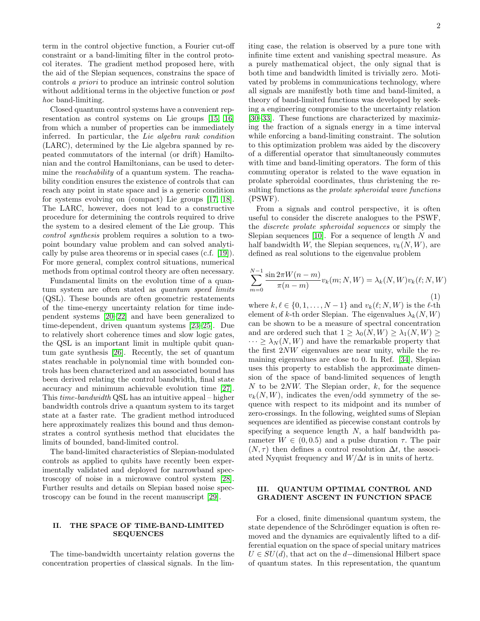term in the control objective function, a Fourier cut-off constraint or a band-limiting filter in the control protocol iterates. The gradient method proposed here, with the aid of the Slepian sequences, constrains the space of controls a priori to produce an intrinsic control solution without additional terms in the objective function or *post* hoc band-limiting.

Closed quantum control systems have a convenient representation as control systems on Lie groups [\[15,](#page-6-12) [16\]](#page-6-13) from which a number of properties can be immediately inferred. In particular, the Lie algebra rank condition (LARC), determined by the Lie algebra spanned by repeated commutators of the internal (or drift) Hamiltonian and the control Hamiltonians, can be used to determine the reachability of a quantum system. The reachability condition ensures the existence of controls that can reach any point in state space and is a generic condition for systems evolving on (compact) Lie groups [\[17,](#page-6-14) [18\]](#page-6-15). The LARC, however, does not lead to a constructive procedure for determining the controls required to drive the system to a desired element of the Lie group. This control synthesis problem requires a solution to a twopoint boundary value problem and can solved analytically by pulse area theorems or in special cases (c.f. [\[19\]](#page-6-16)). For more general, complex control situations, numerical methods from optimal control theory are often necessary.

Fundamental limits on the evolution time of a quantum system are often stated as quantum speed limits (QSL). These bounds are often geometric restatements of the time-energy uncertainty relation for time independent systems [\[20–](#page-6-17)[22\]](#page-6-18) and have been generalized to time-dependent, driven quantum systems [\[23–](#page-6-19)[25\]](#page-6-20). Due to relatively short coherence times and slow logic gates, the QSL is an important limit in multiple qubit quantum gate synthesis [\[26\]](#page-6-21). Recently, the set of quantum states reachable in polynomial time with bounded controls has been characterized and an associated bound has been derived relating the control bandwidth, final state accuracy and minimum achievable evolution time [\[27\]](#page-6-22). This time-bandwidth QSL has an intuitive appeal – higher bandwidth controls drive a quantum system to its target state at a faster rate. The gradient method introduced here approximately realizes this bound and thus demonstrates a control synthesis method that elucidates the limits of bounded, band-limited control.

The band-limited characteristics of Slepian-modulated controls as applied to qubits have recently been experimentally validated and deployed for narrowband spectroscopy of noise in a microwave control system [\[28\]](#page-6-23). Further results and details on Slepian based noise spectroscopy can be found in the recent manuscript [\[29\]](#page-6-24).

#### II. THE SPACE OF TIME-BAND-LIMITED SEQUENCES

The time-bandwidth uncertainty relation governs the concentration properties of classical signals. In the limiting case, the relation is observed by a pure tone with infinite time extent and vanishing spectral measure. As a purely mathematical object, the only signal that is both time and bandwidth limited is trivially zero. Motivated by problems in communications technology, where all signals are manifestly both time and band-limited, a theory of band-limited functions was developed by seeking a engineering compromise to the uncertainty relation [\[30–](#page-6-25)[33\]](#page-6-26). These functions are characterized by maximizing the fraction of a signals energy in a time interval while enforcing a band-limiting constraint. The solution to this optimization problem was aided by the discovery of a differential operator that simultaneously commutes with time and band-limiting operators. The form of this commuting operator is related to the wave equation in prolate spheroidal coordinates, thus christening the resulting functions as the *prolate spheroidal wave functions* (PSWF).

From a signals and control perspective, it is often useful to consider the discrete analogues to the PSWF, the discrete prolate spheroidal sequences or simply the Slepian sequences [\[10\]](#page-6-9). For a sequence of length  $N$  and half bandwidth W, the Slepian sequences,  $v_k(N, W)$ , are defined as real solutions to the eigenvalue problem

$$
\sum_{m=0}^{N-1} \frac{\sin 2\pi W(n-m)}{\pi (n-m)} v_k(m; N, W) = \lambda_k(N, W) v_k(\ell; N, W)
$$
\n(1)

where  $k, \ell \in \{0, 1, \ldots, N-1\}$  and  $v_k(\ell; N, W)$  is the  $\ell$ -th element of k-th order Slepian. The eigenvalues  $\lambda_k(N, W)$ can be shown to be a measure of spectral concentration and are ordered such that  $1 \geq \lambda_0(N, W) \geq \lambda_1(N, W) \geq$  $\cdots > \lambda_N(N, W)$  and have the remarkable property that the first 2NW eigenvalues are near unity, while the remaining eigenvalues are close to 0. In Ref. [\[34\]](#page-6-27), Slepian uses this property to establish the approximate dimension of the space of band-limited sequences of length N to be  $2NW$ . The Slepian order, k, for the sequence  $v_k(N, W)$ , indicates the even/odd symmetry of the sequence with respect to its midpoint and its number of zero-crossings. In the following, weighted sums of Slepian sequences are identified as piecewise constant controls by specifying a sequence length  $N$ , a half bandwidth parameter  $W \in (0, 0.5)$  and a pulse duration  $\tau$ . The pair  $(N, \tau)$  then defines a control resolution  $\Delta t$ , the associated Nyquist frequency and  $W/\Delta t$  is in units of hertz.

## III. QUANTUM OPTIMAL CONTROL AND GRADIENT ASCENT IN FUNCTION SPACE

For a closed, finite dimensional quantum system, the state dependence of the Schrödinger equation is often removed and the dynamics are equivalently lifted to a differential equation on the space of special unitary matrices  $U \in SU(d)$ , that act on the d–dimensional Hilbert space of quantum states. In this representation, the quantum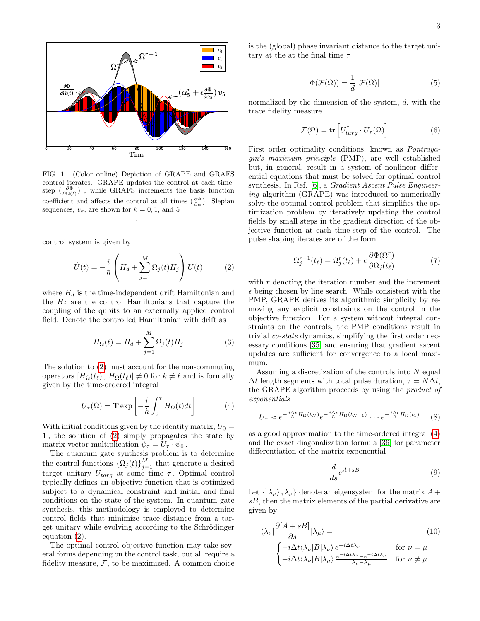

<span id="page-2-3"></span>FIG. 1. (Color online) Depiction of GRAPE and GRAFS control iterates. GRAPE updates the control at each timestep  $\left(\frac{\partial \Phi}{\partial \Omega(t)}\right)$ , while GRAFS increments the basis function coefficient and affects the control at all times  $(\frac{\partial \Phi}{\partial \alpha})$ . Slepian sequences,  $v_k$ , are shown for  $k = 0, 1$ , and 5

.

control system is given by

<span id="page-2-0"></span>
$$
\dot{U}(t) = -\frac{i}{\hbar} \left( H_d + \sum_{j=1}^{M} \Omega_j(t) H_j \right) U(t) \tag{2}
$$

where  $H_d$  is the time-independent drift Hamiltonian and the  $H_i$  are the control Hamiltonians that capture the coupling of the qubits to an externally applied control field. Denote the controlled Hamiltonian with drift as

$$
H_{\Omega}(t) = H_d + \sum_{j=1}^{M} \Omega_j(t) H_j \tag{3}
$$

The solution to [\(2\)](#page-2-0) must account for the non-commuting operators  $[H_{\Omega}(t_{\ell}), H_{\Omega}(t_{\ell})] \neq 0$  for  $k \neq \ell$  and is formally given by the time-ordered integral

<span id="page-2-1"></span>
$$
U_{\tau}(\Omega) = \mathbf{T} \exp\left[-\frac{i}{\hbar} \int_0^{\tau} H_{\Omega}(t) dt\right]
$$
 (4)

With initial conditions given by the identity matrix,  $U_0 =$ 1 , the solution of [\(2\)](#page-2-0) simply propagates the state by matrix-vector multiplication  $\psi_{\tau} = U_{\tau} \cdot \psi_0$ .

The quantum gate synthesis problem is to determine the control functions  $\{\Omega_j(t)\}_{j=1}^M$  that generate a desired target unitary  $U_{targ}$  at some time  $\tau$ . Optimal control typically defines an objective function that is optimized subject to a dynamical constraint and initial and final conditions on the state of the system. In quantum gate synthesis, this methodology is employed to determine control fields that minimize trace distance from a target unitary while evolving according to the Schrödinger equation  $(2)$ .

The optimal control objective function may take several forms depending on the control task, but all require a fidelity measure,  $F$ , to be maximized. A common choice is the (global) phase invariant distance to the target unitary at the at the final time  $\tau$ 

$$
\Phi(\mathcal{F}(\Omega)) = \frac{1}{d} |\mathcal{F}(\Omega)| \tag{5}
$$

normalized by the dimension of the system,  $d$ , with the trace fidelity measure

$$
\mathcal{F}(\Omega) = \text{tr}\left[U_{targ}^{\dagger} \cdot U_{\tau}(\Omega)\right]
$$
 (6)

First order optimality conditions, known as Pontrayagin's maximum principle (PMP), are well established but, in general, result in a system of nonlinear differential equations that must be solved for optimal control synthesis. In Ref. [\[6\]](#page-6-5), a Gradient Ascent Pulse Engineering algorithm (GRAPE) was introduced to numerically solve the optimal control problem that simplifies the optimization problem by iteratively updating the control fields by small steps in the gradient direction of the objective function at each time-step of the control. The pulse shaping iterates are of the form

$$
\Omega_j^{r+1}(t_\ell) = \Omega_j^r(t_\ell) + \epsilon \frac{\partial \Phi(\Omega^r)}{\partial \Omega_j(t_\ell)}\tag{7}
$$

with  $r$  denoting the iteration number and the increment  $\epsilon$  being chosen by line search. While consistent with the PMP, GRAPE derives its algorithmic simplicity by removing any explicit constraints on the control in the objective function. For a system without integral constraints on the controls, the PMP conditions result in trivial co-state dynamics, simplifying the first order necessary conditions [\[35\]](#page-6-28) and ensuring that gradient ascent updates are sufficient for convergence to a local maximum.

Assuming a discretization of the controls into N equal  $\Delta t$  length segments with total pulse duration,  $\tau = N\Delta t$ , the GRAPE algorithm proceeds by using the product of exponentials

<span id="page-2-2"></span>
$$
U_{\tau} \approx e^{-\frac{i\Delta t}{\hbar}H_{\Omega}(t_N)}e^{-\frac{i\Delta t}{\hbar}H_{\Omega}(t_{N-1})}\cdots e^{-\frac{i\Delta t}{\hbar}H_{\Omega}(t_1)}\qquad(8)
$$

as a good approximation to the time-ordered integral [\(4\)](#page-2-1) and the exact diagonalization formula [\[36\]](#page-6-29) for parameter differentiation of the matrix exponential

<span id="page-2-5"></span><span id="page-2-4"></span>
$$
\frac{d}{ds}e^{A+sB} \tag{9}
$$

Let  $\{|\lambda_{\nu}\rangle, \lambda_{\nu}\}\$  denote an eigensystem for the matrix  $A+$ sB, then the matrix elements of the partial derivative are given by

$$
\langle \lambda_{\nu} | \frac{\partial [A + sB]}{\partial s} | \lambda_{\mu} \rangle =
$$
\n
$$
\begin{cases}\n-i\Delta t \langle \lambda_{\nu} | B | \lambda_{\nu} \rangle e^{-i\Delta t \lambda_{\nu}} & \text{for } \nu = \mu \\
-i\Delta t \langle \lambda_{\nu} | B | \lambda_{\mu} \rangle \frac{e^{-i\Delta t \lambda_{\nu}} - e^{-i\Delta t \lambda_{\mu}}}{\lambda_{\nu} - \lambda_{\mu}} & \text{for } \nu \neq \mu\n\end{cases}
$$
\n(10)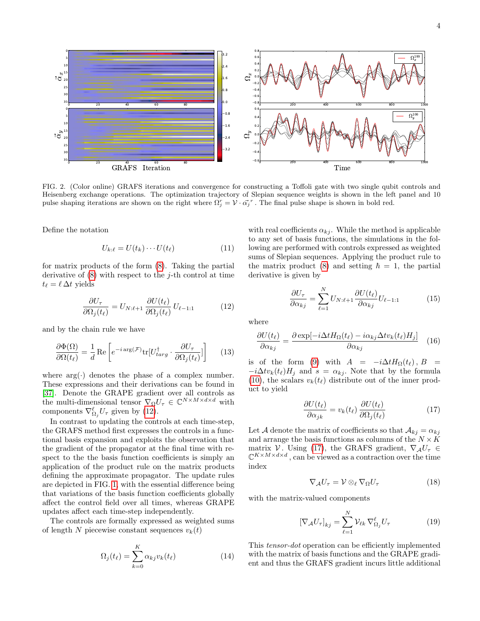

<span id="page-3-3"></span>FIG. 2. (Color online) GRAFS iterations and convergence for constructing a Toffoli gate with two single qubit controls and Heisenberg exchange operations. The optimization trajectory of Slepian sequence weights is shown in the left panel and 10 pulse shaping iterations are shown on the right where  $\Omega_j^r = \mathcal{V} \cdot \alpha_j^r$ . The final pulse shape is shown in bold red.

Define the notation

$$
U_{k:\ell} = U(t_k) \cdots U(t_\ell) \tag{11}
$$

for matrix products of the form [\(8\)](#page-2-2). Taking the partial derivative of  $(8)$  with respect to the j-th control at time  $t_{\ell} = \ell \, \Delta t$  yields

<span id="page-3-0"></span>
$$
\frac{\partial U_{\tau}}{\partial \Omega_j(t_\ell)} = U_{N:\ell+1} \frac{\partial U(t_\ell)}{\partial \Omega_j(t_\ell)} U_{\ell-1:1}
$$
(12)

and by the chain rule we have

<span id="page-3-2"></span>
$$
\frac{\partial \Phi(\Omega)}{\partial \Omega(t_{\ell})} = \frac{1}{d} \operatorname{Re} \left[ e^{-i \operatorname{arg}(\mathcal{F})} \operatorname{tr} [U_{targ}^{\dagger} \cdot \frac{\partial U_{\tau}}{\partial \Omega_{j}(t_{\ell})}] \right] \tag{13}
$$

where  $arg(\cdot)$  denotes the phase of a complex number. These expressions and their derivations can be found in [\[37\]](#page-6-30). Denote the GRAPE gradient over all controls as the multi-dimensional tensor  $\nabla_{\Omega}U_{\tau} \in \mathbb{C}^{N \times M \times d \times d}$  with components  $\nabla_{\Omega_j}^{\ell} U_{\tau}$  given by [\(12\)](#page-3-0).

In contrast to updating the controls at each time-step, the GRAFS method first expresses the controls in a functional basis expansion and exploits the observation that the gradient of the propagator at the final time with respect to the the basis function coefficients is simply an application of the product rule on the matrix products defining the approximate propagator. The update rules are depicted in FIG. [1,](#page-2-3) with the essential difference being that variations of the basis function coefficients globally affect the control field over all times, whereas GRAPE updates affect each time-step independently.

The controls are formally expressed as weighted sums of length N piecewise constant sequences  $v_k(t)$ 

$$
\Omega_j(t_\ell) = \sum_{k=0}^K \alpha_{kj} v_k(t_\ell) \tag{14}
$$

with real coefficients  $\alpha_{kj}$ . While the method is applicable to any set of basis functions, the simulations in the following are performed with controls expressed as weighted sums of Slepian sequences. Applying the product rule to the matrix product [\(8\)](#page-2-2) and setting  $\hbar = 1$ , the partial derivative is given by

$$
\frac{\partial U_{\tau}}{\partial \alpha_{kj}} = \sum_{\ell=1}^{N} U_{N:\ell+1} \frac{\partial U(t_{\ell})}{\partial \alpha_{kj}} U_{\ell-1:1}
$$
(15)

where

$$
\frac{\partial U(t_{\ell})}{\partial \alpha_{kj}} = \frac{\partial \exp[-i\Delta t H_{\Omega}(t_{\ell}) - i\alpha_{kj}\Delta tv_{k}(t_{\ell})H_{j}]}{\partial \alpha_{kj}}
$$
(16)

is of the form [\(9\)](#page-2-4) with  $A = -i\Delta t H_{\Omega}(t_{\ell}), B =$  $-i\Delta tv_k(t_\ell)H_j$  and  $s = \alpha_{kj}$ . Note that by the formula [\(10\)](#page-2-5), the scalars  $v_k(t_\ell)$  distribute out of the inner product to yield

<span id="page-3-1"></span>
$$
\frac{\partial U(t_{\ell})}{\partial \alpha_{jk}} = v_k(t_{\ell}) \frac{\partial U(t_{\ell})}{\partial \Omega_j(t_{\ell})} \tag{17}
$$

Let A denote the matrix of coefficients so that  $A_{kj} = \alpha_{kj}$ and arrange the basis functions as columns of the  $N \times K$ matrix V. Using [\(17\)](#page-3-1), the GRAFS gradient,  $\nabla_{\mathcal{A}}U_{\tau} \in$  $\mathbb{C}^{K \times M \times d \times d}$ , can be viewed as a contraction over the time index

<span id="page-3-4"></span>
$$
\nabla_{\mathcal{A}} U_{\tau} = \mathcal{V} \otimes_{\ell} \nabla_{\Omega} U_{\tau} \tag{18}
$$

with the matrix-valued components

$$
[\nabla_{\mathcal{A}} U_{\tau}]_{kj} = \sum_{\ell=1}^{N} \mathcal{V}_{\ell k} \, \nabla^{\ell}_{\Omega_j} U_{\tau}
$$
 (19)

This tensor-dot operation can be efficiently implemented with the matrix of basis functions and the GRAPE gradient and thus the GRAFS gradient incurs little additional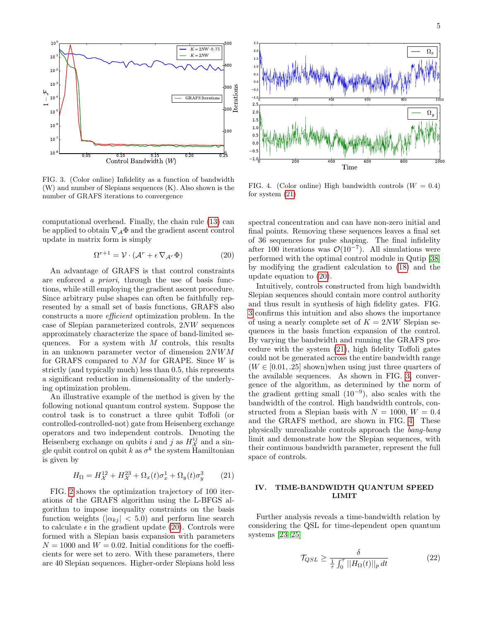

<span id="page-4-2"></span>FIG. 3. (Color online) Infidelity as a function of bandwidth (W) and number of Slepians sequences (K). Also shown is the number of GRAFS iterations to convergence

computational overhead. Finally, the chain rule [\(13\)](#page-3-2) can be applied to obtain  $\nabla_{\mathcal{A}} \Phi$  and the gradient ascent control update in matrix form is simply

<span id="page-4-0"></span>
$$
\Omega^{r+1} = \mathcal{V} \cdot (\mathcal{A}^r + \epsilon \nabla_{\mathcal{A}^r} \Phi)
$$
 (20)

An advantage of GRAFS is that control constraints are enforced a priori, through the use of basis functions, while still employing the gradient ascent procedure. Since arbitrary pulse shapes can often be faithfully represented by a small set of basis functions, GRAFS also constructs a more efficient optimization problem. In the case of Slepian parameterized controls, 2NW sequences approximately characterize the space of band-limited sequences. For a system with  $M$  controls, this results in an unknown parameter vector of dimension 2NWM for GRAFS compared to NM for GRAPE. Since W is strictly (and typically much) less than 0.5, this represents a significant reduction in dimensionality of the underlying optimization problem.

An illustrative example of the method is given by the following notional quantum control system. Suppose the control task is to construct a three qubit Toffoli (or controlled-controlled-not) gate from Heisenberg exchange operators and two independent controls. Denoting the Heisenberg exchange on qubits i and j as  $H_X^{ij}$  and a single qubit control on qubit k as  $\sigma^k$  the system Hamiltonian is given by

<span id="page-4-1"></span>
$$
H_{\Omega} = H_{\mathcal{X}}^{12} + H_{\mathcal{X}}^{23} + \Omega_x(t)\sigma_x^1 + \Omega_y(t)\sigma_y^3 \qquad (21)
$$

FIG. [2](#page-3-3) shows the optimization trajectory of 100 iterations of the GRAFS algorithm using the L-BFGS algorithm to impose inequality constraints on the basis function weights  $(|\alpha_{kj}| < 5.0)$  and perform line search to calculate  $\epsilon$  in the gradient update [\(20\)](#page-4-0). Controls were formed with a Slepian basis expansion with parameters  $N = 1000$  and  $W = 0.02$ . Initial conditions for the coefficients for were set to zero. With these parameters, there are 40 Slepian sequences. Higher-order Slepians hold less



<span id="page-4-3"></span>FIG. 4. (Color online) High bandwidth controls  $(W = 0.4)$ for system [\(21\)](#page-4-1)

spectral concentration and can have non-zero initial and final points. Removing these sequences leaves a final set of 36 sequences for pulse shaping. The final infidelity after 100 iterations was  $\mathcal{O}(10^{-7})$ . All simulations were performed with the optimal control module in Qutip [\[38\]](#page-6-31) by modifying the gradient calculation to [\(18\)](#page-3-4) and the update equation to [\(20\)](#page-4-0).

Intuitively, controls constructed from high bandwidth Slepian sequences should contain more control authority and thus result in synthesis of high fidelity gates. FIG. [3](#page-4-2) confirms this intuition and also shows the importance of using a nearly complete set of  $K = 2NW$  Slepian sequences in the basis function expansion of the control. By varying the bandwidth and running the GRAFS procedure with the system [\(21\)](#page-4-1), high fidelity Toffoli gates could not be generated across the entire bandwidth range  $(W \in [0.01, .25]$  shown)when using just three quarters of the available sequences. As shown in FIG. [3,](#page-4-2) convergence of the algorithm, as determined by the norm of the gradient getting small  $(10^{-9})$ , also scales with the bandwidth of the control. High bandwidth controls, constructed from a Slepian basis with  $N = 1000, W = 0.4$ and the GRAFS method, are shown in FIG. [4.](#page-4-3) These physically unrealizable controls approach the bang-bang limit and demonstrate how the Slepian sequences, with their continuous bandwidth parameter, represent the full space of controls.

## IV. TIME-BANDWIDTH QUANTUM SPEED LIMIT

Further analysis reveals a time-bandwidth relation by considering the QSL for time-dependent open quantum systems [\[23–](#page-6-19)[25\]](#page-6-20)

<span id="page-4-4"></span>
$$
\mathcal{T}_{QSL} \ge \frac{\delta}{\frac{1}{\tau} \int_0^{\tau} ||H_{\Omega}(t)||_p dt} \tag{22}
$$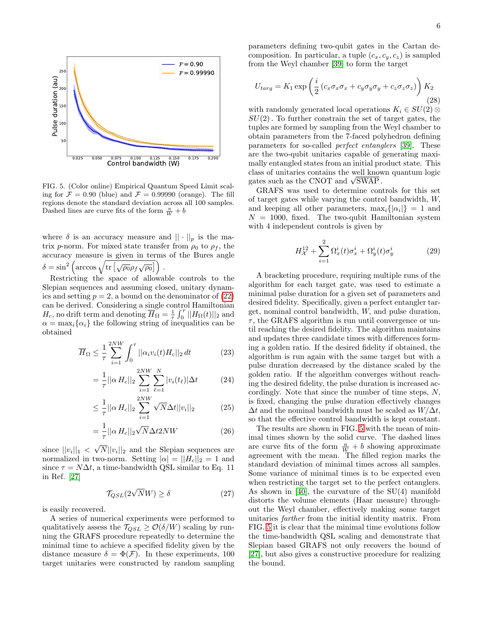

<span id="page-5-0"></span>FIG. 5. (Color online) Empirical Quantum Speed Limit scaling for  $\mathcal{F} = 0.90$  (blue) and  $\mathcal{F} = 0.99990$  (orange). The fill regions denote the standard deviation across all 100 samples. Dashed lines are curve fits of the form  $\frac{a}{W} + b$ 

where  $\delta$  is an accuracy measure and  $|| \cdot ||_p$  is the matrix p-norm. For mixed state transfer from  $\rho_0$  to  $\rho_f$ , the accuracy measure is given in terms of the Bures angle  $\delta = \sin^2 \left( \arccos \sqrt{\text{tr} \left[ \sqrt{\rho_0} \rho_f \sqrt{\rho_0} \right]} \right) .$ 

Restricting the space of allowable controls to the Slepian sequences and assuming closed, unitary dynamics and setting  $p = 2$ , a bound on the denominator of  $(22)$ can be derived. Considering a single control Hamiltonian  $H_c$ , no drift term and denoting  $\overline{H}_{\Omega} = \frac{1}{\tau} \int_0^{\tau} ||H_{\Omega}(t)||_2$  and  $\alpha = \max_i {\alpha_i}$  the following string of inequalities can be obtained

$$
\overline{H}_{\Omega} \le \frac{1}{\tau} \sum_{i=1}^{2NW} \int_0^{\tau} ||\alpha_i v_i(t) H_c||_2 dt \qquad (23)
$$

$$
= \frac{1}{\tau} ||\alpha H_c||_2 \sum_{i=1}^{2NW} \sum_{\ell=1}^{N} |v_i(t_\ell)| \Delta t \qquad (24)
$$

$$
\leq \frac{1}{\tau} ||\alpha H_c||_2 \sum_{i=1}^{2NW} \sqrt{N} \Delta t ||v_i||_2 \tag{25}
$$

$$
=\frac{1}{\tau}||\alpha H_c||_2\sqrt{N}\Delta t2NW\tag{26}
$$

since  $||v_i||_1$  < √  $N||v_i||_2$  and the Slepian sequences are normalized in two-norm. Setting  $|\alpha| = ||H_c||_2 = 1$  and since  $\tau = N\Delta t$ , a time-bandwidth QSL similar to Eq. 11 in Ref. [\[27\]](#page-6-22)

$$
\mathcal{T}_{QSL}(2\sqrt{N}W) \ge \delta \tag{27}
$$

is easily recovered.

A series of numerical experiments were performed to qualitatively assess the  $\mathcal{T}_{QSL} \geq \mathcal{O}(\delta/W)$  scaling by running the GRAFS procedure repeatedly to determine the minimal time to achieve a specified fidelity given by the distance measure  $\delta = \Phi(\mathcal{F})$ . In these experiments, 100 target unitaries were constructed by random sampling parameters defining two-qubit gates in the Cartan decomposition. In particular, a tuple  $(c_x, c_y, c_z)$  is sampled from the Weyl chamber [\[39\]](#page-6-32) to form the target

$$
U_{targ} = K_1 \exp\left(\frac{i}{2} \left(c_x \sigma_x \sigma_x + c_y \sigma_y \sigma_y + c_z \sigma_z \sigma_z\right)\right) K_2
$$
\n(28)

with randomly generated local operations  $K_i \in SU(2) \otimes$  $SU(2)$ . To further constrain the set of target gates, the tuples are formed by sampling from the Weyl chamber to obtain parameters from the 7-faced polyhedron defining parameters for so-called perfect entanglers [\[39\]](#page-6-32). These are the two-qubit unitaries capable of generating maximally entangled states from an initial product state. This class of unitaries contains the well known quantum logic class of unitaries contains the well know<br>gates such as the CNOT and  $\sqrt{\text{SWAP}}$ .

GRAFS was used to determine controls for this set of target gates while varying the control bandwidth, W, and keeping all other parameters,  $\max_i\{|a_i|\}=1$  and  $N = 1000$ , fixed. The two-qubit Hamiltonian system with 4 independent controls is given by

$$
H_X^{12} + \sum_{i=1}^{2} \Omega_x^i(t)\sigma_x^i + \Omega_y^i(t)\sigma_y^i
$$
 (29)

A bracketing procedure, requiring multiple runs of the algorithm for each target gate, was used to estimate a minimal pulse duration for a given set of parameters and desired fidelity. Specifically, given a perfect entangler target, nominal control bandwidth, W, and pulse duration,  $\tau$ , the GRAFS algorithm is run until convergence or until reaching the desired fidelity. The algorithm maintains and updates three candidate times with differences forming a golden ratio. If the desired fidelity if obtained, the algorithm is run again with the same target but with a pulse duration decreased by the distance scaled by the golden ratio. If the algorithm converges without reaching the desired fidelity, the pulse duration is increased accordingly. Note that since the number of time steps, N, is fixed, changing the pulse duration effectively changes  $\Delta t$  and the nominal bandwidth must be scaled as  $W/\Delta t$ , so that the effective control bandwidth is kept constant.

The results are shown in FIG. [5](#page-5-0) with the mean of minimal times shown by the solid curve. The dashed lines are curve fits of the form  $\frac{a}{W} + b$  showing approximate agreement with the mean. The filled region marks the standard deviation of minimal times across all samples. Some variance of minimal times is to be expected even when restricting the target set to the perfect entanglers. As shown in [\[40\]](#page-6-33), the curvature of the SU(4) manifold distorts the volume elements (Haar measure) throughout the Weyl chamber, effectively making some target unitaries farther from the initial identity matrix. From FIG. [5](#page-5-0) it is clear that the minimal time evolutions follow the time-bandwidth QSL scaling and demonstrate that Slepian based GRAFS not only recovers the bound of [\[27\]](#page-6-22), but also gives a constructive procedure for realizing the bound.